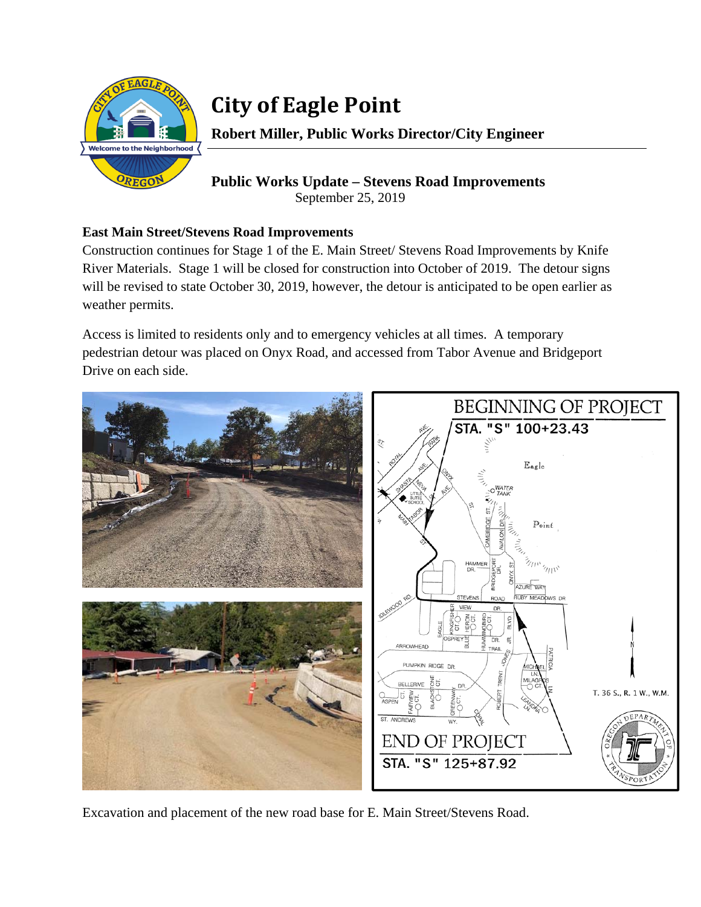

## **City of Eagle Point**

**Robert Miller, Public Works Director/City Engineer** 

**Public Works Update – Stevens Road Improvements**  September 25, 2019

## **East Main Street/Stevens Road Improvements**

Construction continues for Stage 1 of the E. Main Street/ Stevens Road Improvements by Knife River Materials. Stage 1 will be closed for construction into October of 2019. The detour signs will be revised to state October 30, 2019, however, the detour is anticipated to be open earlier as weather permits.

Access is limited to residents only and to emergency vehicles at all times. A temporary pedestrian detour was placed on Onyx Road, and accessed from Tabor Avenue and Bridgeport Drive on each side.



Excavation and placement of the new road base for E. Main Street/Stevens Road.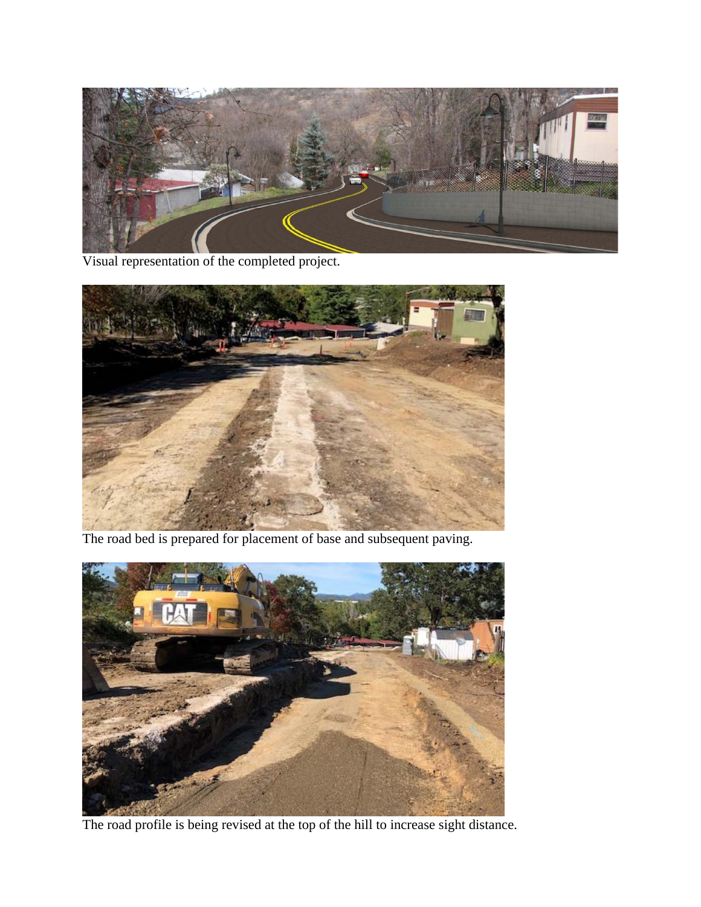

Visual representation of the completed project.



The road bed is prepared for placement of base and subsequent paving.



The road profile is being revised at the top of the hill to increase sight distance.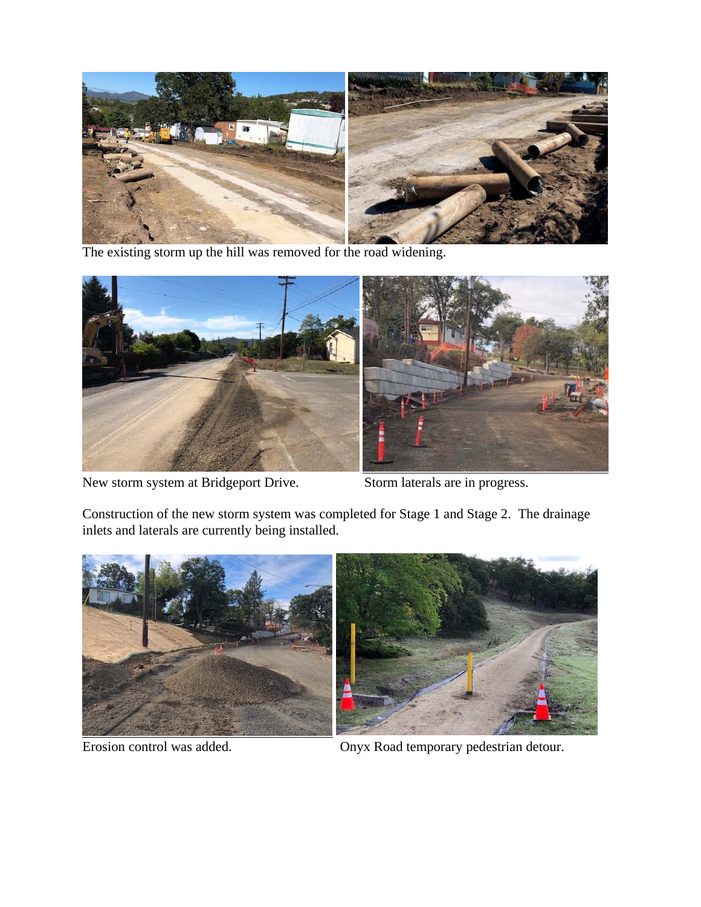

The existing storm up the hill was removed for the road widening.



New storm system at Bridgeport Drive. Storm laterals are in progress.

Construction of the new storm system was completed for Stage 1 and Stage 2. The drainage inlets and laterals are currently being installed.



Erosion control was added. Onyx Road temporary pedestrian detour.